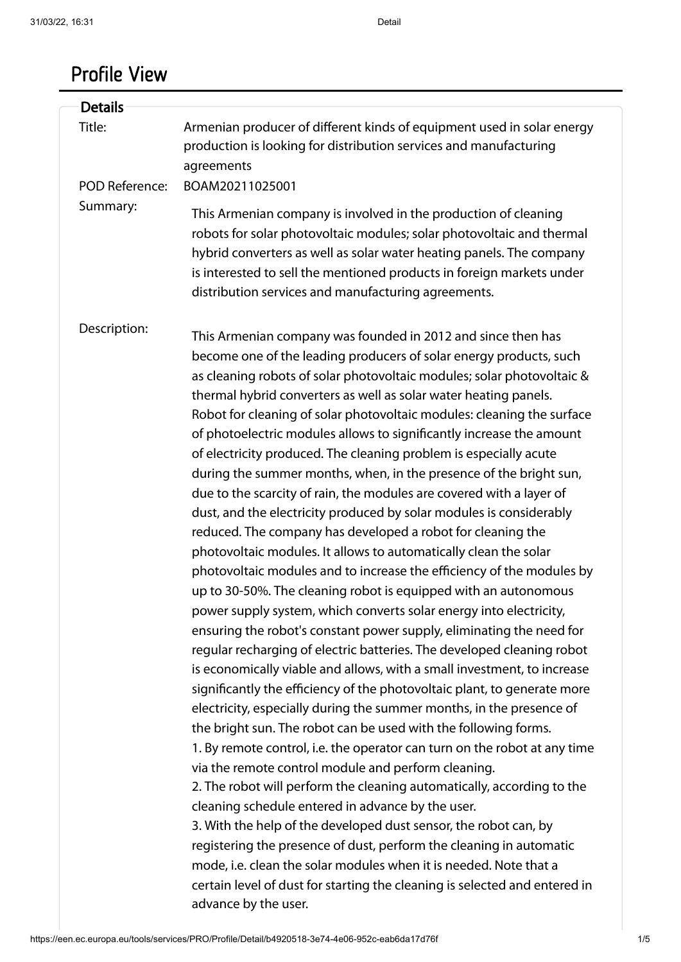# Profile View

| <b>Details</b>        |                                                                                                                                                                                                                                                                                                                                                                                                                                                                                                                                                                                                                                                                                                                                                                                                                                                                                                                                                                                                                                                                                                                                                                                                                                                                                                                                                                                                                                                                                                                                                                                                                                                                                                                                                                                                                                                                                                                                                                                                                                                                                                                                |
|-----------------------|--------------------------------------------------------------------------------------------------------------------------------------------------------------------------------------------------------------------------------------------------------------------------------------------------------------------------------------------------------------------------------------------------------------------------------------------------------------------------------------------------------------------------------------------------------------------------------------------------------------------------------------------------------------------------------------------------------------------------------------------------------------------------------------------------------------------------------------------------------------------------------------------------------------------------------------------------------------------------------------------------------------------------------------------------------------------------------------------------------------------------------------------------------------------------------------------------------------------------------------------------------------------------------------------------------------------------------------------------------------------------------------------------------------------------------------------------------------------------------------------------------------------------------------------------------------------------------------------------------------------------------------------------------------------------------------------------------------------------------------------------------------------------------------------------------------------------------------------------------------------------------------------------------------------------------------------------------------------------------------------------------------------------------------------------------------------------------------------------------------------------------|
| Title:                | Armenian producer of different kinds of equipment used in solar energy<br>production is looking for distribution services and manufacturing<br>agreements                                                                                                                                                                                                                                                                                                                                                                                                                                                                                                                                                                                                                                                                                                                                                                                                                                                                                                                                                                                                                                                                                                                                                                                                                                                                                                                                                                                                                                                                                                                                                                                                                                                                                                                                                                                                                                                                                                                                                                      |
| <b>POD Reference:</b> | BOAM20211025001                                                                                                                                                                                                                                                                                                                                                                                                                                                                                                                                                                                                                                                                                                                                                                                                                                                                                                                                                                                                                                                                                                                                                                                                                                                                                                                                                                                                                                                                                                                                                                                                                                                                                                                                                                                                                                                                                                                                                                                                                                                                                                                |
| Summary:              | This Armenian company is involved in the production of cleaning<br>robots for solar photovoltaic modules; solar photovoltaic and thermal<br>hybrid converters as well as solar water heating panels. The company<br>is interested to sell the mentioned products in foreign markets under<br>distribution services and manufacturing agreements.                                                                                                                                                                                                                                                                                                                                                                                                                                                                                                                                                                                                                                                                                                                                                                                                                                                                                                                                                                                                                                                                                                                                                                                                                                                                                                                                                                                                                                                                                                                                                                                                                                                                                                                                                                               |
| Description:          | This Armenian company was founded in 2012 and since then has<br>become one of the leading producers of solar energy products, such<br>as cleaning robots of solar photovoltaic modules; solar photovoltaic &<br>thermal hybrid converters as well as solar water heating panels.<br>Robot for cleaning of solar photovoltaic modules: cleaning the surface<br>of photoelectric modules allows to significantly increase the amount<br>of electricity produced. The cleaning problem is especially acute<br>during the summer months, when, in the presence of the bright sun,<br>due to the scarcity of rain, the modules are covered with a layer of<br>dust, and the electricity produced by solar modules is considerably<br>reduced. The company has developed a robot for cleaning the<br>photovoltaic modules. It allows to automatically clean the solar<br>photovoltaic modules and to increase the efficiency of the modules by<br>up to 30-50%. The cleaning robot is equipped with an autonomous<br>power supply system, which converts solar energy into electricity,<br>ensuring the robot's constant power supply, eliminating the need for<br>regular recharging of electric batteries. The developed cleaning robot<br>is economically viable and allows, with a small investment, to increase<br>significantly the efficiency of the photovoltaic plant, to generate more<br>electricity, especially during the summer months, in the presence of<br>the bright sun. The robot can be used with the following forms.<br>1. By remote control, i.e. the operator can turn on the robot at any time<br>via the remote control module and perform cleaning.<br>2. The robot will perform the cleaning automatically, according to the<br>cleaning schedule entered in advance by the user.<br>3. With the help of the developed dust sensor, the robot can, by<br>registering the presence of dust, perform the cleaning in automatic<br>mode, i.e. clean the solar modules when it is needed. Note that a<br>certain level of dust for starting the cleaning is selected and entered in<br>advance by the user. |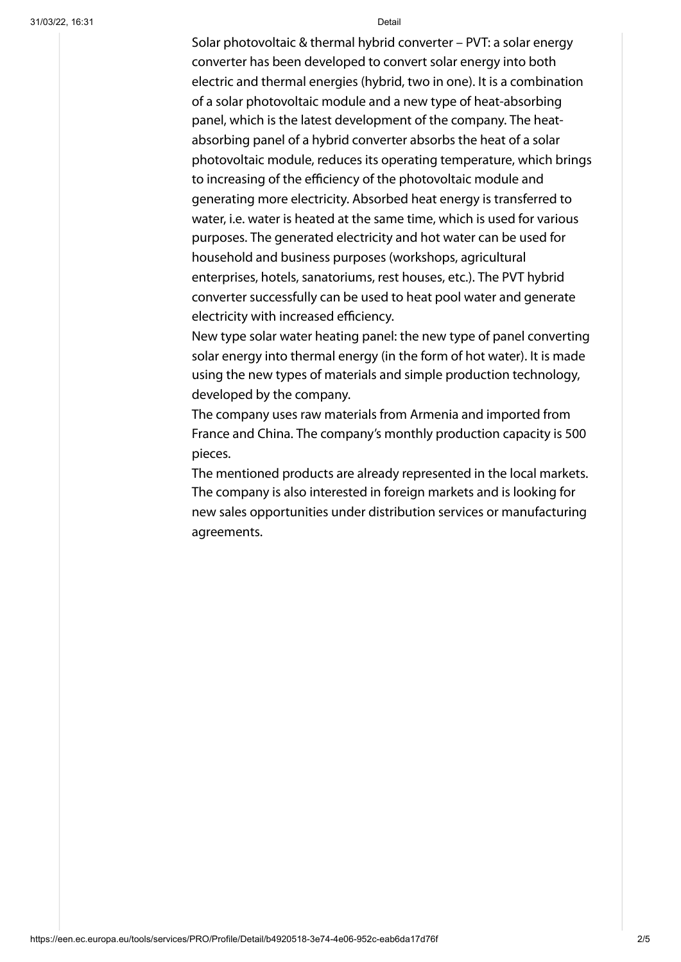Solar photovoltaic & thermal hybrid converter – PVT: a solar energy converter has been developed to convert solar energy into both electric and thermal energies (hybrid, two in one). It is a combination of a solar photovoltaic module and a new type of heat-absorbing panel, which is the latest development of the company. The heatabsorbing panel of a hybrid converter absorbs the heat of a solar photovoltaic module, reduces its operating temperature, which brings to increasing of the efficiency of the photovoltaic module and generating more electricity. Absorbed heat energy is transferred to water, i.e. water is heated at the same time, which is used for various purposes. The generated electricity and hot water can be used for household and business purposes (workshops, agricultural enterprises, hotels, sanatoriums, rest houses, etc.). The PVT hybrid converter successfully can be used to heat pool water and generate electricity with increased efficiency.

New type solar water heating panel: the new type of panel converting solar energy into thermal energy (in the form of hot water). It is made using the new types of materials and simple production technology, developed by the company.

The company uses raw materials from Armenia and imported from France and China. The company's monthly production capacity is 500 pieces.

The mentioned products are already represented in the local markets. The company is also interested in foreign markets and is looking for new sales opportunities under distribution services or manufacturing agreements.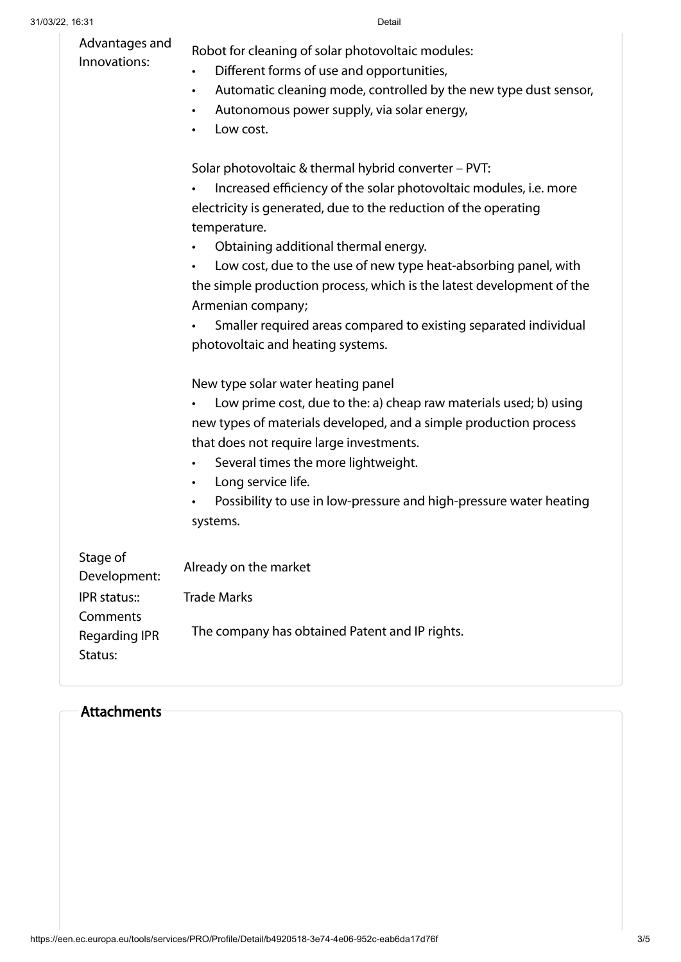| Advantages and<br>Innovations:                   | Robot for cleaning of solar photovoltaic modules:<br>Different forms of use and opportunities,<br>Automatic cleaning mode, controlled by the new type dust sensor,<br>٠<br>Autonomous power supply, via solar energy,<br>Low cost.                                                                                                                                                                                                              |
|--------------------------------------------------|-------------------------------------------------------------------------------------------------------------------------------------------------------------------------------------------------------------------------------------------------------------------------------------------------------------------------------------------------------------------------------------------------------------------------------------------------|
|                                                  | Solar photovoltaic & thermal hybrid converter - PVT:<br>Increased efficiency of the solar photovoltaic modules, i.e. more<br>$\bullet$<br>electricity is generated, due to the reduction of the operating<br>temperature.<br>Obtaining additional thermal energy.<br>Low cost, due to the use of new type heat-absorbing panel, with<br>$\bullet$<br>the simple production process, which is the latest development of the<br>Armenian company; |
|                                                  | Smaller required areas compared to existing separated individual<br>$\bullet$<br>photovoltaic and heating systems.                                                                                                                                                                                                                                                                                                                              |
|                                                  | New type solar water heating panel<br>Low prime cost, due to the: a) cheap raw materials used; b) using<br>new types of materials developed, and a simple production process<br>that does not require large investments.<br>Several times the more lightweight.<br>$\bullet$<br>Long service life.<br>$\bullet$<br>Possibility to use in low-pressure and high-pressure water heating<br>$\bullet$<br>systems.                                  |
| Stage of<br>Development:                         | Already on the market                                                                                                                                                                                                                                                                                                                                                                                                                           |
| IPR status::<br>Comments<br><b>Regarding IPR</b> | <b>Trade Marks</b><br>The company has obtained Patent and IP rights.                                                                                                                                                                                                                                                                                                                                                                            |

### **Attachments**

Status: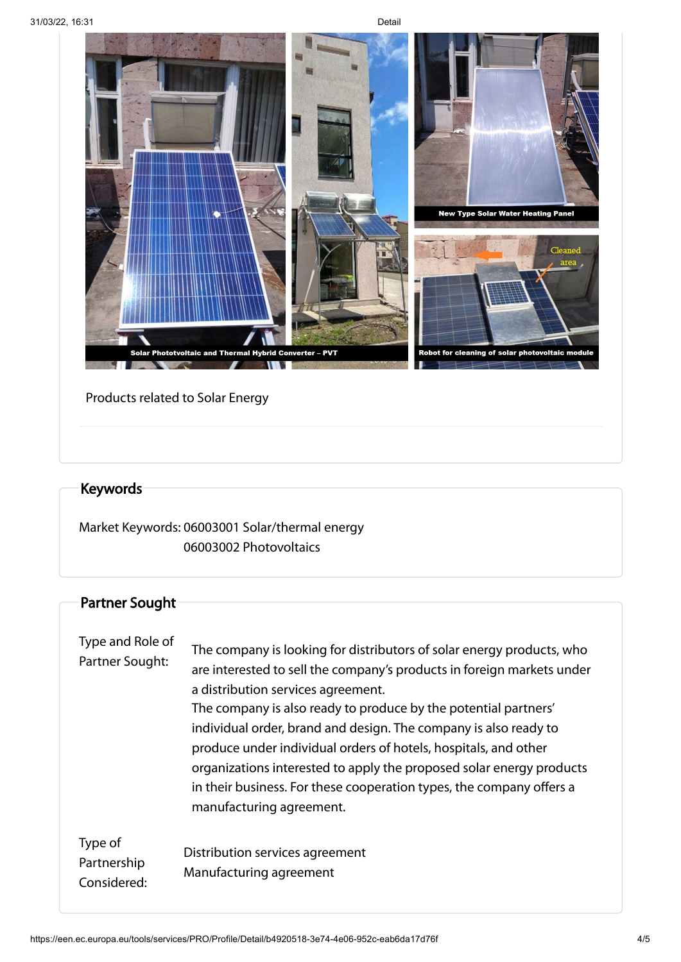

### Products related to Solar Energy

# Keywords

Market Keywords: 06003001 Solar/thermal energy 06003002 Photovoltaics

## Partner Sought

| Type and Role of<br>Partner Sought:   | The company is looking for distributors of solar energy products, who<br>are interested to sell the company's products in foreign markets under<br>a distribution services agreement.<br>The company is also ready to produce by the potential partners'<br>individual order, brand and design. The company is also ready to<br>produce under individual orders of hotels, hospitals, and other<br>organizations interested to apply the proposed solar energy products<br>in their business. For these cooperation types, the company offers a<br>manufacturing agreement. |
|---------------------------------------|-----------------------------------------------------------------------------------------------------------------------------------------------------------------------------------------------------------------------------------------------------------------------------------------------------------------------------------------------------------------------------------------------------------------------------------------------------------------------------------------------------------------------------------------------------------------------------|
| Type of<br>Partnership<br>Considered: | Distribution services agreement<br>Manufacturing agreement                                                                                                                                                                                                                                                                                                                                                                                                                                                                                                                  |